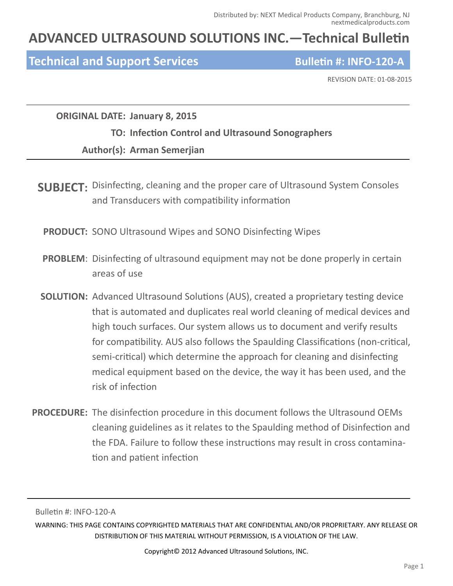## **ADVANCED ULTRASOUND SOLUTIONS INC.—Technical Bulletin**

### **Technical and Support Services Bulletin #: INFO-120-A**

REVISION DATE: 01‐08‐2015

**ORIGINAL DATE: January 8, 2015**

#### **TO: InfecƟon Control and Ultrasound Sonographers**

#### **Author(s): Arman Semerjian**

**SUBJECT:** Disinfecting, cleaning and the proper care of Ultrasound System Consoles and Transducers with compatibility information

**PRODUCT:** SONO Ultrasound Wipes and SONO Disinfecting Wipes

- **PROBLEM:** Disinfecting of ultrasound equipment may not be done properly in certain areas of use
- **SOLUTION:** Advanced Ultrasound Solutions (AUS), created a proprietary testing device that is automated and duplicates real world cleaning of medical devices and high touch surfaces. Our system allows us to document and verify results for compatibility. AUS also follows the Spaulding Classifications (non-critical, semi-critical) which determine the approach for cleaning and disinfecting medical equipment based on the device, the way it has been used, and the risk of infection
- **PROCEDURE:** The disinfection procedure in this document follows the Ultrasound OEMs cleaning guidelines as it relates to the Spaulding method of Disinfection and the FDA. Failure to follow these instructions may result in cross contamination and patient infection

Bulletin #: INFO-120-A

WARNING: THIS PAGE CONTAINS COPYRIGHTED MATERIALS THAT ARE CONFIDENTIAL AND/OR PROPRIETARY. ANY RELEASE OR DISTRIBUTION OF THIS MATERIAL WITHOUT PERMISSION, IS A VIOLATION OF THE LAW.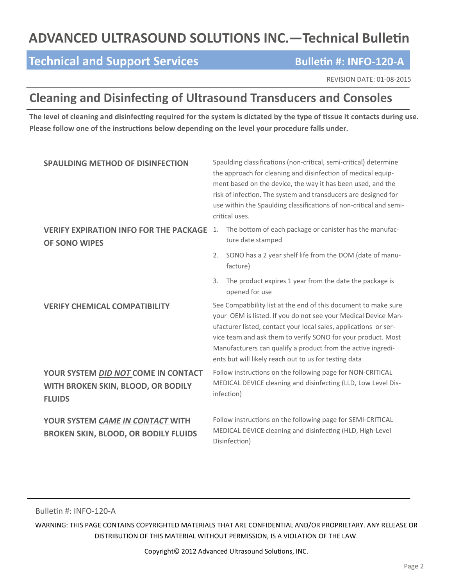# **ADVANCED ULTRASOUND SOLUTIONS INC. - Technical Bulletin**

## **Technical and Support Services**<br> **Bulletin #: INFO-120-A**

REVISION DATE: 01‐08‐2015

## **Cleaning and Disinfecting of Ultrasound Transducers and Consoles**

The level of cleaning and disinfecting required for the system is dictated by the type of tissue it contacts during use. **Please follow one of the instrucƟons below depending on the level your procedure falls under.**

| <b>SPAULDING METHOD OF DISINFECTION</b>                                                    | Spaulding classifications (non-critical, semi-critical) determine<br>the approach for cleaning and disinfection of medical equip-<br>ment based on the device, the way it has been used, and the<br>risk of infection. The system and transducers are designed for<br>use within the Spaulding classifications of non-critical and semi-<br>critical uses.                                     |  |
|--------------------------------------------------------------------------------------------|------------------------------------------------------------------------------------------------------------------------------------------------------------------------------------------------------------------------------------------------------------------------------------------------------------------------------------------------------------------------------------------------|--|
| <b>VERIFY EXPIRATION INFO FOR THE PACKAGE</b><br><b>OF SONO WIPES</b>                      | The bottom of each package or canister has the manufac-<br>1.<br>ture date stamped                                                                                                                                                                                                                                                                                                             |  |
|                                                                                            | SONO has a 2 year shelf life from the DOM (date of manu-<br>2.<br>facture)                                                                                                                                                                                                                                                                                                                     |  |
|                                                                                            | The product expires 1 year from the date the package is<br>3.<br>opened for use                                                                                                                                                                                                                                                                                                                |  |
| <b>VERIFY CHEMICAL COMPATIBILITY</b>                                                       | See Compatibility list at the end of this document to make sure<br>your OEM is listed. If you do not see your Medical Device Man-<br>ufacturer listed, contact your local sales, applications or ser-<br>vice team and ask them to verify SONO for your product. Most<br>Manufacturers can qualify a product from the active ingredi-<br>ents but will likely reach out to us for testing data |  |
| YOUR SYSTEM DID NOT COME IN CONTACT<br>WITH BROKEN SKIN, BLOOD, OR BODILY<br><b>FLUIDS</b> | Follow instructions on the following page for NON-CRITICAL<br>MEDICAL DEVICE cleaning and disinfecting (LLD, Low Level Dis-<br>infection)                                                                                                                                                                                                                                                      |  |
| YOUR SYSTEM CAME IN CONTACT WITH<br><b>BROKEN SKIN, BLOOD, OR BODILY FLUIDS</b>            | Follow instructions on the following page for SEMI-CRITICAL<br>MEDICAL DEVICE cleaning and disinfecting (HLD, High-Level<br>Disinfection)                                                                                                                                                                                                                                                      |  |

Bulletin #: INFO-120-A

WARNING: THIS PAGE CONTAINS COPYRIGHTED MATERIALS THAT ARE CONFIDENTIAL AND/OR PROPRIETARY. ANY RELEASE OR DISTRIBUTION OF THIS MATERIAL WITHOUT PERMISSION, IS A VIOLATION OF THE LAW.

Copyright© 2012 Advanced Ultrasound Solutions, INC.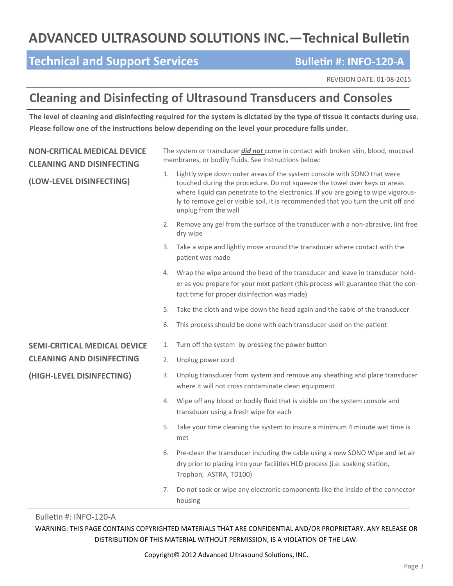# **ADVANCED ULTRASOUND SOLUTIONS INC. - Technical Bulletin**

## **Technical and Support Services**<br> **Bulletin #: INFO-120-A**

REVISION DATE: 01‐08‐2015

## **Cleaning and Disinfecting of Ultrasound Transducers and Consoles**

The level of cleaning and disinfecting required for the system is dictated by the type of tissue it contacts during use. **Please follow one of the instrucƟons below depending on the level your procedure falls under.**

| <b>NON-CRITICAL MEDICAL DEVICE</b><br><b>CLEANING AND DISINFECTING</b> | The system or transducer <i>did not</i> come in contact with broken skin, blood, mucosal<br>membranes, or bodily fluids. See Instructions below: |                                                                                                                                                                                                                                                                                                                                                         |
|------------------------------------------------------------------------|--------------------------------------------------------------------------------------------------------------------------------------------------|---------------------------------------------------------------------------------------------------------------------------------------------------------------------------------------------------------------------------------------------------------------------------------------------------------------------------------------------------------|
| (LOW-LEVEL DISINFECTING)                                               | 1.                                                                                                                                               | Lightly wipe down outer areas of the system console with SONO that were<br>touched during the procedure. Do not squeeze the towel over keys or areas<br>where liquid can penetrate to the electronics. If you are going to wipe vigorous-<br>ly to remove gel or visible soil, it is recommended that you turn the unit off and<br>unplug from the wall |
|                                                                        |                                                                                                                                                  | 2. Remove any gel from the surface of the transducer with a non-abrasive, lint free<br>dry wipe                                                                                                                                                                                                                                                         |
|                                                                        | 3.                                                                                                                                               | Take a wipe and lightly move around the transducer where contact with the<br>patient was made                                                                                                                                                                                                                                                           |
|                                                                        | 4.                                                                                                                                               | Wrap the wipe around the head of the transducer and leave in transducer hold-<br>er as you prepare for your next patient (this process will guarantee that the con-<br>tact time for proper disinfection was made)                                                                                                                                      |
|                                                                        | 5.                                                                                                                                               | Take the cloth and wipe down the head again and the cable of the transducer                                                                                                                                                                                                                                                                             |
|                                                                        | 6.                                                                                                                                               | This process should be done with each transducer used on the patient                                                                                                                                                                                                                                                                                    |
| <b>SEMI-CRITICAL MEDICAL DEVICE</b>                                    | 1.                                                                                                                                               | Turn off the system by pressing the power button                                                                                                                                                                                                                                                                                                        |
| <b>CLEANING AND DISINFECTING</b>                                       | 2.                                                                                                                                               | Unplug power cord                                                                                                                                                                                                                                                                                                                                       |
| (HIGH-LEVEL DISINFECTING)                                              | 3.                                                                                                                                               | Unplug transducer from system and remove any sheathing and place transducer<br>where it will not cross contaminate clean equipment                                                                                                                                                                                                                      |
|                                                                        | 4.                                                                                                                                               | Wipe off any blood or bodily fluid that is visible on the system console and<br>transducer using a fresh wipe for each                                                                                                                                                                                                                                  |
|                                                                        | 5.                                                                                                                                               | Take your time cleaning the system to insure a minimum 4 minute wet time is<br>met                                                                                                                                                                                                                                                                      |
|                                                                        | 6.                                                                                                                                               | Pre-clean the transducer including the cable using a new SONO Wipe and let air<br>dry prior to placing into your facilities HLD process (i.e. soaking station,<br>Trophon, ASTRA, TD100)                                                                                                                                                                |
|                                                                        | 7.                                                                                                                                               | Do not soak or wipe any electronic components like the inside of the connector<br>housing                                                                                                                                                                                                                                                               |

Bulletin #: INFO-120-A

WARNING: THIS PAGE CONTAINS COPYRIGHTED MATERIALS THAT ARE CONFIDENTIAL AND/OR PROPRIETARY. ANY RELEASE OR DISTRIBUTION OF THIS MATERIAL WITHOUT PERMISSION, IS A VIOLATION OF THE LAW.

Copyright© 2012 Advanced Ultrasound Solutions, INC.